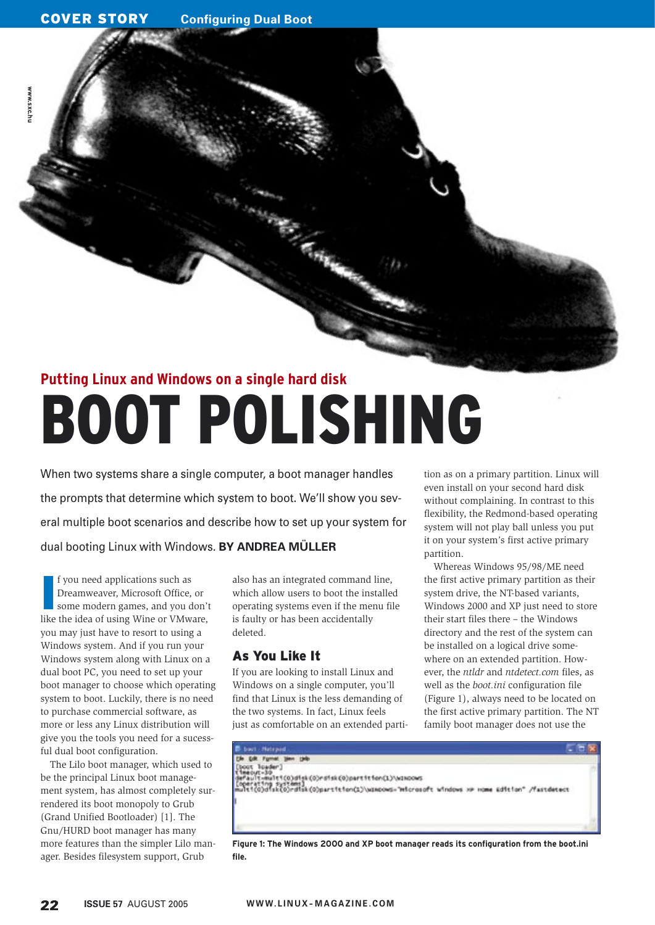**www.sxc.hu**

*MWW.SXC.hu* 

# **Putting Linux and Windows on a single hard disk** BOOT POLISHING

When two systems share a single computer, a boot manager handles the prompts that determine which system to boot. We'll show you several multiple boot scenarios and describe how to set up your system for dual booting Linux with Windows. **BY ANDREA MÜLLER**

**I** f you need applications such as Dreamweaver, Microsoft Office, or some modern games, and you don't like the idea of using Wine or VMware, you may just have to resort to using a Windows system. And if you run your Windows system along with Linux on a dual boot PC, you need to set up your boot manager to choose which operating system to boot. Luckily, there is no need to purchase commercial software, as more or less any Linux distribution will give you the tools you need for a sucessful dual boot configuration.

The Lilo boot manager, which used to be the principal Linux boot management system, has almost completely surrendered its boot monopoly to Grub (Grand Unified Bootloader) [1]. The Gnu/ HURD boot manager has many more features than the simpler Lilo manager. Besides filesystem support, Grub

also has an integrated command line, which allow users to boot the installed operating systems even if the menu file is faulty or has been accidentally deleted.

# As You Like It

If you are looking to install Linux and Windows on a single computer, you'll find that Linux is the less demanding of the two systems. In fact, Linux feels just as comfortable on an extended partition as on a primary partition. Linux will even install on your second hard disk without complaining. In contrast to this flexibility, the Redmond-based operating system will not play ball unless you put it on your system's first active primary partition.

Whereas Windows 95/98/ME need the first active primary partition as their system drive, the NT-based variants, Windows 2000 and XP just need to store their start files there – the Windows directory and the rest of the system can be installed on a logical drive somewhere on an extended partition. However, the *ntldr* and *ntdetect.com* files, as well as the *boot.ini* configuration file (Figure 1), always need to be located on the first active primary partition. The NT family boot manager does not use the



**Figure 1: The Windows 2000 and XP boot manager reads its configuration from the boot.ini file.**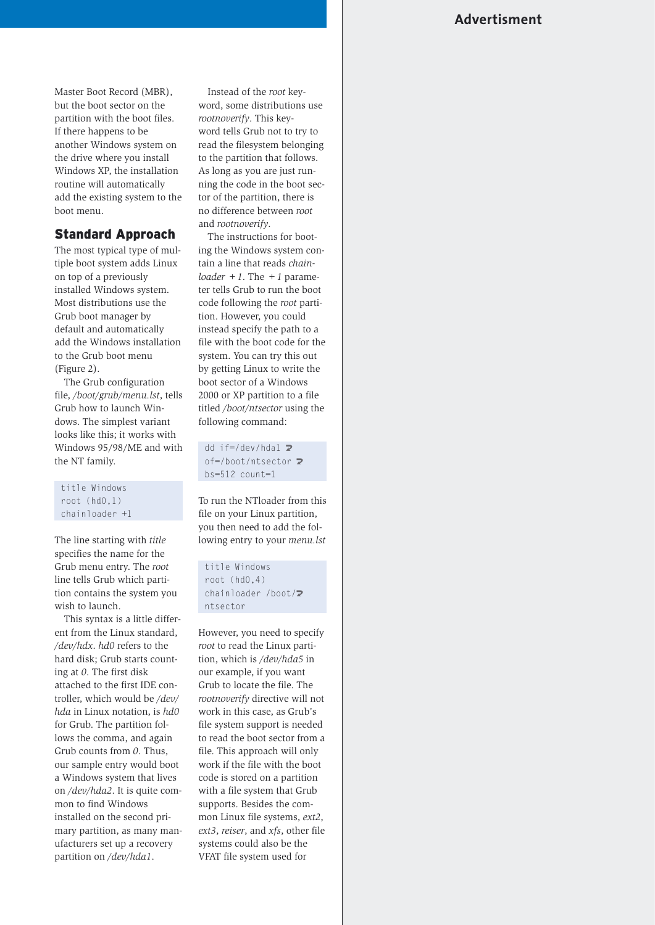# **Advertisment**

Master Boot Record (MBR), but the boot sector on the partition with the boot files. If there happens to be another Windows system on the drive where you install Windows XP, the installation routine will automatically add the existing system to the boot menu.

### Standard Approach

The most typical type of multiple boot system adds Linux on top of a previously installed Windows system. Most distributions use the Grub boot manager by default and automatically add the Windows installation to the Grub boot menu (Figure 2).

The Grub configuration file, */boot/grub/menu.lst*, tells Grub how to launch Windows. The simplest variant looks like this; it works with Windows 95/98/ME and with the NT family.

title Windows root (hd0,1) chainloader +1

The line starting with *title* specifies the name for the Grub menu entry. The *root* line tells Grub which partition contains the system you wish to launch.

This syntax is a little different from the Linux standard, */dev/hdx*. *hd0* refers to the hard disk; Grub starts counting at *0*. The first disk attached to the first IDE controller, which would be */dev/ hda* in Linux notation, is *hd0* for Grub. The partition follows the comma, and again Grub counts from *0*. Thus, our sample entry would boot a Windows system that lives on */dev/hda2*. It is quite common to find Windows installed on the second primary partition, as many manufacturers set up a recovery partition on */dev/hda1*.

Instead of the *root* keyword, some distributions use *rootnoverify*. This keyword tells Grub not to try to read the filesystem belonging to the partition that follows. As long as you are just running the code in the boot sector of the partition, there is no difference between *root* and *rootnoverify*.

The instructions for booting the Windows system contain a line that reads *chainloader*  $+1$ . The  $+1$  parameter tells Grub to run the boot code following the *root* partition. However, you could instead specify the path to a file with the boot code for the system. You can try this out by getting Linux to write the boot sector of a Windows 2000 or XP partition to a file titled */boot/ntsector* using the following command:

dd if=/dev/hda1  $\triangleright$ of=/boot/ntsector 2 bs=512 count=1

To run the NTloader from this file on your Linux partition, you then need to add the following entry to your *menu.lst*

title Windows root (hd0,4) chainloader /boot/2 ntsector

However, you need to specify *root* to read the Linux partition, which is */dev/hda5* in our example, if you want Grub to locate the file. The *rootnoverify* directive will not work in this case, as Grub's file system support is needed to read the boot sector from a file. This approach will only work if the file with the boot code is stored on a partition with a file system that Grub supports. Besides the common Linux file systems, *ext2*, *ext3*, *reiser*, and *xfs*, other file systems could also be the VFAT file system used for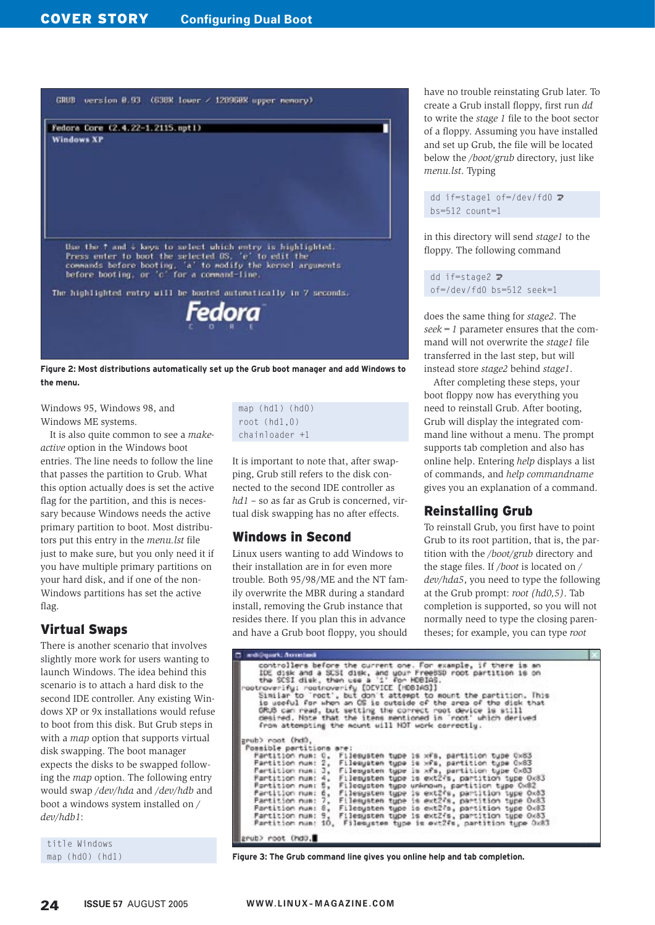

**Figure 2: Most distributions automatically set up the Grub boot manager and add Windows to the menu.**

Windows 95, Windows 98, and Windows ME systems.

It is also quite common to see a *makeactive* option in the Windows boot entries. The line needs to follow the line that passes the partition to Grub. What this option actually does is set the active flag for the partition, and this is necessary because Windows needs the active primary partition to boot. Most distributors put this entry in the *menu.lst* file just to make sure, but you only need it if you have multiple primary partitions on your hard disk, and if one of the non-Windows partitions has set the active flag.

# Virtual Swaps

There is another scenario that involves slightly more work for users wanting to launch Windows. The idea behind this scenario is to attach a hard disk to the second IDE controller. Any existing Windows XP or 9x installations would refuse to boot from this disk. But Grub steps in with a *map* option that supports virtual disk swapping. The boot manager expects the disks to be swapped following the *map* option. The following entry would swap */dev/hda* and */dev/hdb* and boot a windows system installed on */ dev/hdb1*:

title Windows map (hd0) (hd1) map (hd1) (hd0) root (hd1,0) chainloader +1

It is important to note that, after swapping, Grub still refers to the disk connected to the second IDE controller as *hd1* – so as far as Grub is concerned, virtual disk swapping has no after effects.

# Windows in Second

Linux users wanting to add Windows to their installation are in for even more trouble. Both 95/98/ME and the NT family overwrite the MBR during a standard install, removing the Grub instance that resides there. If you plan this in advance and have a Grub boot floppy, you should have no trouble reinstating Grub later. To create a Grub install floppy, first run *dd* to write the *stage 1* file to the boot sector of a floppy. Assuming you have installed and set up Grub, the file will be located below the */boot/grub* directory, just like *menu.lst*. Typing

dd if=stage1 of=/dev/fd0  $\triangleright$ bs=512 count=1

in this directory will send *stage1* to the floppy. The following command

dd if=stage2  $\triangleright$ of=/dev/fd0 bs=512 seek=1

does the same thing for *stage2*. The *seek=1* parameter ensures that the command will not overwrite the *stage1* file transferred in the last step, but will instead store *stage2* behind *stage1*.

After completing these steps, your boot floppy now has everything you need to reinstall Grub. After booting, Grub will display the integrated command line without a menu. The prompt supports tab completion and also has online help. Entering *help* displays a list of commands, and *help commandname* gives you an explanation of a command.

# Reinstalling Grub

To reinstall Grub, you first have to point Grub to its root partition, that is, the partition with the */boot/grub* directory and the stage files. If */boot* is located on */ dev/hda5*, you need to type the following at the Grub prompt: *root (hd0,5)*. Tab completion is supported, so you will not normally need to type the closing parentheses; for example, you can type *root* 

```
di (rgazh). Ao redard
 endiquent. Accorded<br>controllers before the current one. For example, if there is an<br>IDE disk and a SCSI disk, and wour FreeBSD root partition is on<br>the SCSI disk, then use a 'i' for HDBIAS.<br>rootnoverify: rootnoverify [DEVI
grub) root (hd)
   Possible partitions<br>Partition num: 0,
                                                                 ere:<br>Filesysten type is xfs, partition type 0x83<br>Filesysten type is xfs, partition type 0x83<br>Filesysten type is xfs, partition type 0x83<br>Filesysten type is ext2fs, partition type 0x83<br>Filesysten type is ext2fs, partition t
        Partition num: 0,<br>Partition num: 2,<br>Partition num: 3,
        Partition num: 4,<br>Partition num: 6,
        Partition num: 6,<br>Partition num: 7,<br>Partition num: 8,
        Partition num:<br>Partition num:
                                                     \frac{9}{10}.
grub> root (hd0.
```
**Figure 3: The Grub command line gives you online help and tab completion.**